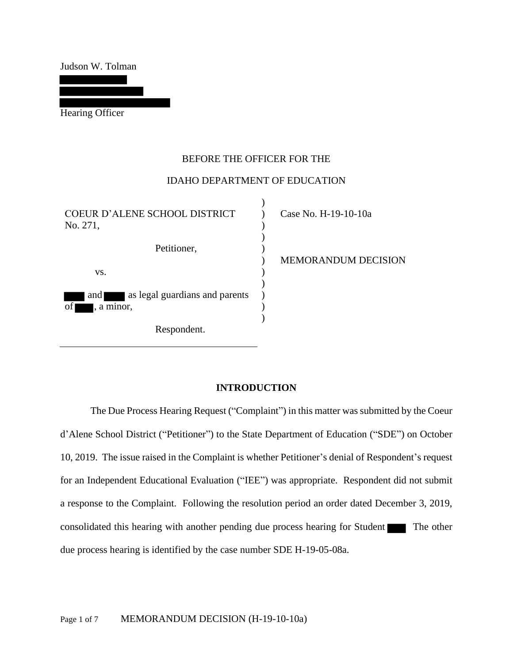Judson W. Tolman

Hearing Officer

# BEFORE THE OFFICER FOR THE

## IDAHO DEPARTMENT OF EDUCATION

 $\lambda$ 

| COEUR D'ALENE SCHOOL DISTRICT<br>No. 271, | Case No. H-19-10-10a |
|-------------------------------------------|----------------------|
| Petitioner,                               | MEMORANDUM DECISION  |
| VS.                                       |                      |
| as legal guardians and parents<br>and     |                      |
| of<br>, a minor,                          |                      |
| Respondent.                               |                      |

## **INTRODUCTION**

The Due Process Hearing Request ("Complaint") in this matter was submitted by the Coeur d'Alene School District ("Petitioner") to the State Department of Education ("SDE") on October 10, 2019. The issue raised in the Complaint is whether Petitioner's denial of Respondent's request for an Independent Educational Evaluation ("IEE") was appropriate. Respondent did not submit a response to the Complaint. Following the resolution period an order dated December 3, 2019, consolidated this hearing with another pending due process hearing for Student The other due process hearing is identified by the case number SDE H-19-05-08a.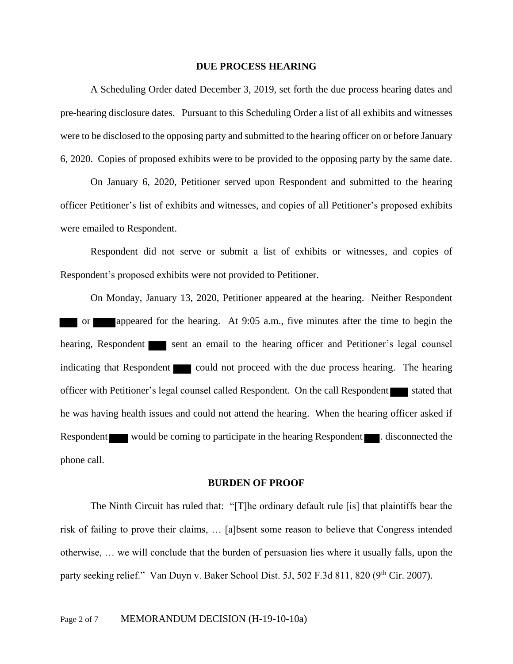#### **DUE PROCESS HEARING**

A Scheduling Order dated December 3, 2019, set forth the due process hearing dates and pre-hearing disclosure dates. Pursuant to this Scheduling Order a list of all exhibits and witnesses were to be disclosed to the opposing party and submitted to the hearing officer on or before January 6, 2020. Copies of proposed exhibits were to be provided to the opposing party by the same date.

On January 6, 2020, Petitioner served upon Respondent and submitted to the hearing officer Petitioner's list of exhibits and witnesses, and copies of all Petitioner's proposed exhibits were emailed to Respondent.

Respondent did not serve or submit a list of exhibits or witnesses, and copies of Respondent's proposed exhibits were not provided to Petitioner.

On Monday, January 13, 2020, Petitioner appeared at the hearing. Neither Respondent or appeared for the hearing. At 9:05 a.m., five minutes after the time to begin the hearing, Respondent sent an email to the hearing officer and Petitioner's legal counsel indicating that Respondent could not proceed with the due process hearing. The hearing officer with Petitioner's legal counsel called Respondent. On the call Respondent stated that he was having health issues and could not attend the hearing. When the hearing officer asked if Respondent would be coming to participate in the hearing Respondent . disconnected the phone call.

#### **BURDEN OF PROOF**

The Ninth Circuit has ruled that: "[T]he ordinary default rule [is] that plaintiffs bear the risk of failing to prove their claims, … [a]bsent some reason to believe that Congress intended otherwise, … we will conclude that the burden of persuasion lies where it usually falls, upon the party seeking relief." Van Duyn v. Baker School Dist. 5J, 502 F.3d 811, 820 (9<sup>th</sup> Cir. 2007).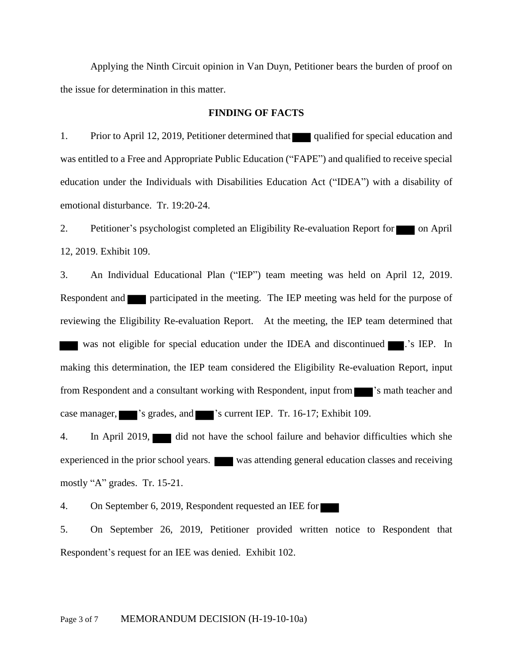Applying the Ninth Circuit opinion in Van Duyn, Petitioner bears the burden of proof on the issue for determination in this matter.

## **FINDING OF FACTS**

1. Prior to April 12, 2019, Petitioner determined that qualified for special education and was entitled to a Free and Appropriate Public Education ("FAPE") and qualified to receive special education under the Individuals with Disabilities Education Act ("IDEA") with a disability of emotional disturbance. Tr. 19:20-24.

2. Petitioner's psychologist completed an Eligibility Re-evaluation Report for on April 12, 2019. Exhibit 109.

3. An Individual Educational Plan ("IEP") team meeting was held on April 12, 2019. Respondent and **participated in the meeting.** The IEP meeting was held for the purpose of reviewing the Eligibility Re-evaluation Report. At the meeting, the IEP team determined that was not eligible for special education under the IDEA and discontinued ............................. making this determination, the IEP team considered the Eligibility Re-evaluation Report, input from Respondent and a consultant working with Respondent, input from  $\blacksquare$  's math teacher and case manager, 's grades, and 's current IEP. Tr. 16-17; Exhibit 109.

4. In April 2019, did not have the school failure and behavior difficulties which she experienced in the prior school years. was attending general education classes and receiving mostly "A" grades. Tr. 15-21.

4. On September 6, 2019, Respondent requested an IEE for

5. On September 26, 2019, Petitioner provided written notice to Respondent that Respondent's request for an IEE was denied. Exhibit 102.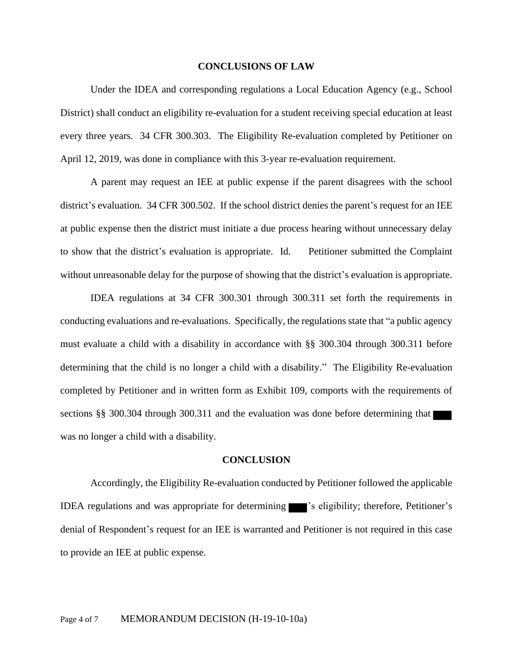#### **CONCLUSIONS OF LAW**

Under the IDEA and corresponding regulations a Local Education Agency (e.g., School District) shall conduct an eligibility re-evaluation for a student receiving special education at least every three years. 34 CFR 300.303. The Eligibility Re-evaluation completed by Petitioner on April 12, 2019, was done in compliance with this 3-year re-evaluation requirement.

A parent may request an IEE at public expense if the parent disagrees with the school district's evaluation. 34 CFR 300.502. If the school district denies the parent's request for an IEE at public expense then the district must initiate a due process hearing without unnecessary delay to show that the district's evaluation is appropriate. Id. Petitioner submitted the Complaint without unreasonable delay for the purpose of showing that the district's evaluation is appropriate.

IDEA regulations at 34 CFR 300.301 through 300.311 set forth the requirements in conducting evaluations and re-evaluations. Specifically, the regulations state that "a public agency must evaluate a child with a disability in accordance with §§ 300.304 through 300.311 before determining that the child is no longer a child with a disability." The Eligibility Re-evaluation completed by Petitioner and in written form as Exhibit 109, comports with the requirements of sections §§ 300.304 through 300.311 and the evaluation was done before determining that was no longer a child with a disability.

## **CONCLUSION**

Accordingly, the Eligibility Re-evaluation conducted by Petitioner followed the applicable IDEA regulations and was appropriate for determining 's eligibility; therefore, Petitioner's denial of Respondent's request for an IEE is warranted and Petitioner is not required in this case to provide an IEE at public expense.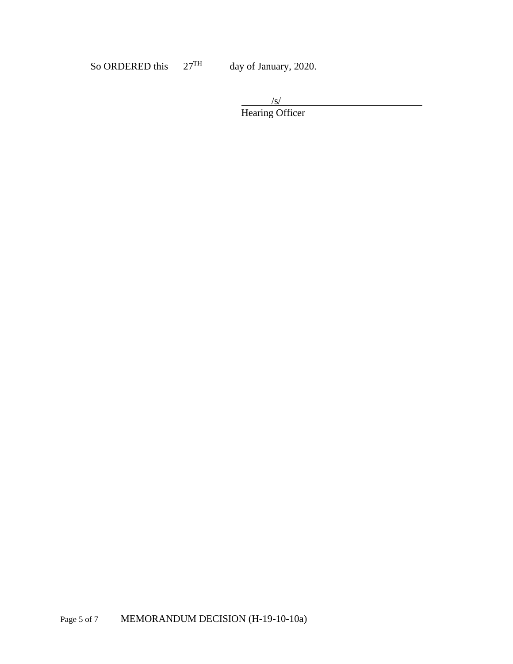So ORDERED this  $27<sup>TH</sup>$  day of January, 2020.

 $\sqrt{s/}$ Hearing Officer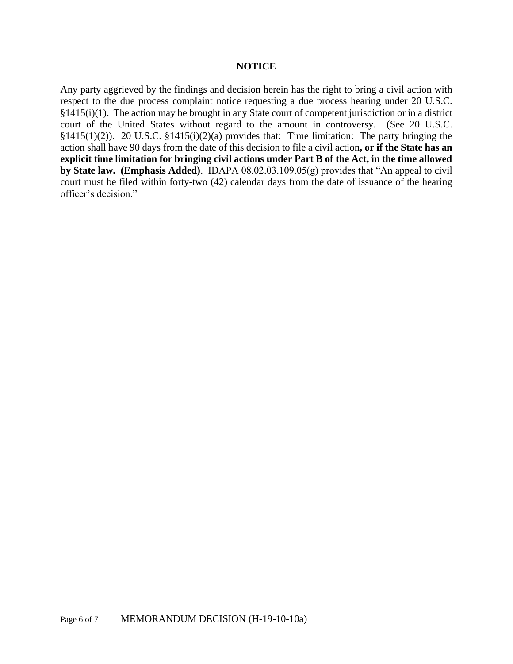## **NOTICE**

Any party aggrieved by the findings and decision herein has the right to bring a civil action with respect to the due process complaint notice requesting a due process hearing under 20 U.S.C. §1415(i)(1). The action may be brought in any State court of competent jurisdiction or in a district court of the United States without regard to the amount in controversy. (See 20 U.S.C. §1415(1)(2)). 20 U.S.C. §1415(i)(2)(a) provides that: Time limitation: The party bringing the action shall have 90 days from the date of this decision to file a civil action**, or if the State has an explicit time limitation for bringing civil actions under Part B of the Act, in the time allowed by State law. (Emphasis Added)**. IDAPA 08.02.03.109.05(g) provides that "An appeal to civil court must be filed within forty-two (42) calendar days from the date of issuance of the hearing officer's decision."